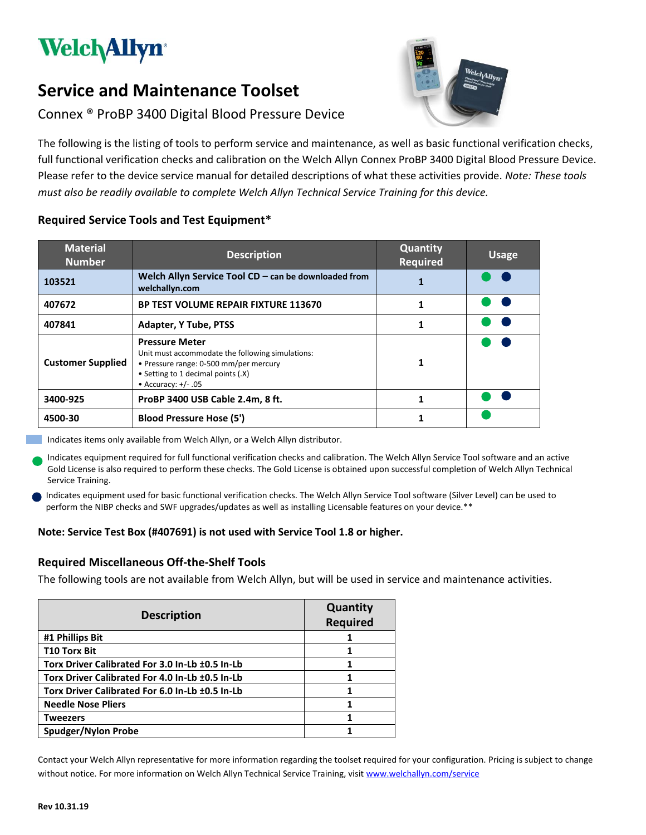

# **Service and Maintenance Toolset**

# Connex ® ProBP 3400 Digital Blood Pressure Device

The following is the listing of tools to perform service and maintenance, as well as basic functional verification checks, full functional verification checks and calibration on the Welch Allyn Connex ProBP 3400 Digital Blood Pressure Device. Please refer to the device service manual for detailed descriptions of what these activities provide. *Note: These tools must also be readily available to complete Welch Allyn Technical Service Training for this device.*

| <b>Material</b><br><b>Number</b> | <b>Description</b>                                                                                                                                                                 | Quantity<br><b>Required</b> | <b>Usage</b> |
|----------------------------------|------------------------------------------------------------------------------------------------------------------------------------------------------------------------------------|-----------------------------|--------------|
| 103521                           | Welch Allyn Service Tool $CD -$ can be downloaded from<br>welchallyn.com                                                                                                           |                             |              |
| 407672                           | <b>BP TEST VOLUME REPAIR FIXTURE 113670</b>                                                                                                                                        |                             |              |
| 407841                           | <b>Adapter, Y Tube, PTSS</b>                                                                                                                                                       |                             |              |
| <b>Customer Supplied</b>         | <b>Pressure Meter</b><br>Unit must accommodate the following simulations:<br>• Pressure range: 0-500 mm/per mercury<br>• Setting to 1 decimal points (.X)<br>• Accuracy: $+/- .05$ | 1                           |              |
| 3400-925                         | ProBP 3400 USB Cable 2.4m, 8 ft.                                                                                                                                                   |                             |              |
| 4500-30                          | <b>Blood Pressure Hose (5')</b>                                                                                                                                                    |                             |              |

## **Required Service Tools and Test Equipment\***

Indicates items only available from Welch Allyn, or a Welch Allyn distributor.

Indicates equipment required for full functional verification checks and calibration. The Welch Allyn Service Tool software and an active Gold License is also required to perform these checks. The Gold License is obtained upon successful completion of Welch Allyn Technical Service Training.

Indicates equipment used for basic functional verification checks. The Welch Allyn Service Tool software (Silver Level) can be used to perform the NIBP checks and SWF upgrades/updates as well as installing Licensable features on your device.\*\*

### **Note: Service Test Box (#407691) is not used with Service Tool 1.8 or higher.**

### **Required Miscellaneous Off-the-Shelf Tools**

The following tools are not available from Welch Allyn, but will be used in service and maintenance activities.

| <b>Description</b>                              | Quantity<br><b>Required</b> |
|-------------------------------------------------|-----------------------------|
| #1 Phillips Bit                                 |                             |
| <b>T10 Torx Bit</b>                             |                             |
| Torx Driver Calibrated For 3.0 In-Lb ±0.5 In-Lb |                             |
| Torx Driver Calibrated For 4.0 In-Lb ±0.5 In-Lb |                             |
| Torx Driver Calibrated For 6.0 In-Lb ±0.5 In-Lb |                             |
| <b>Needle Nose Pliers</b>                       |                             |
| Tweezers                                        |                             |
| <b>Spudger/Nylon Probe</b>                      |                             |

Contact your Welch Allyn representative for more information regarding the toolset required for your configuration. Pricing is subject to change without notice. For more information on Welch Allyn Technical Service Training, visi[t www.welchallyn.com/service](file:///C:/Projects%202013/Education%20Products%20-%20Biomed/ServiceandRepairToolsetDocs/CIWS/www.welchallyn.com/service)